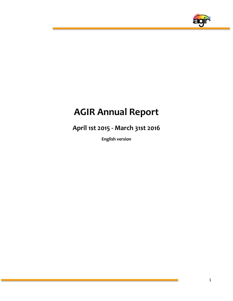

# **AGIR Annual Report**

**April 1st 2015 - March 31st 2016**

**English version**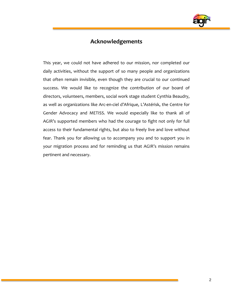

### **Acknowledgements**

This year, we could not have adhered to our mission, nor completed our daily activities, without the support of so many people and organizations that often remain invisible, even though they are crucial to our continued success. We would like to recognize the contribution of our board of directors, volunteers, members, social work stage student Cynthia Beaudry, as well as organizations like Arc-en-ciel d'Afrique, L'Astérisk, the Centre for Gender Advocacy and METISS. We would especially like to thank all of AGIR's supported members who had the courage to fight not only for full access to their fundamental rights, but also to freely live and love without fear. Thank you for allowing us to accompany you and to support you in your migration process and for reminding us that AGIR's mission remains pertinent and necessary.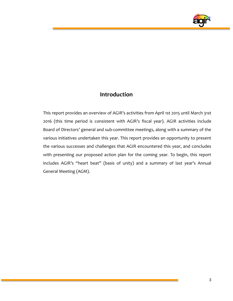

# **Introduction**

This report provides an overview of AGIR's activities from April 1st 2015 until March 31st 2016 (this time period is consistent with AGIR's fiscal year). AGIR activities include Board of Directors' general and sub-committee meetings, along with a summary of the various initiatives undertaken this year. This report provides an opportunity to present the various successes and challenges that AGIR encountered this year, and concludes with presenting our proposed action plan for the coming year. To begin, this report includes AGIR's "heart beat" (basis of unity) and a summary of last year's Annual General Meeting (AGM).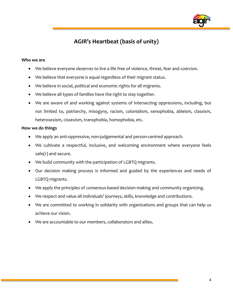

# **AGIR's Heartbeat (basis of unity)**

#### **Who we are**

- We believe everyone deserves to live a life free of violence, threat, fear and coercion.
- We believe that everyone is equal regardless of their migrant status.
- We believe in social, political and economic rights for all migrants.
- We believe all types of families have the right to stay together.
- We are aware of and working against systems of intersecting oppressions, including, but not limited to, patriarchy, misogyny, racism, colonialism, xenophobia, ableism, classism, heterosexism, cissexism, transphobia, homophobia, etc.

#### **How we do things**

- We apply an anti-oppressive, non-judgemental and person-centred approach.
- We cultivate a respectful, inclusive, and welcoming environment where everyone feels safe(r) and secure.
- We build community with the participation of LGBTQ migrants.
- Our decision making process is informed and guided by the experiences and needs of LGBTQ migrants.
- We apply the principles of consensus-based decision making and community organizing.
- We respect and value all individuals' journeys, skills, knowledge and contributions.
- We are committed to working in solidarity with organizations and groups that can help us achieve our vision.
- We are accountable to our members, collaborators and allies**.**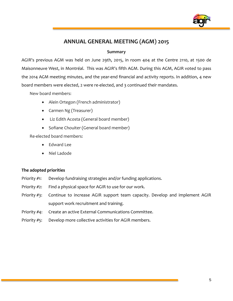

# **ANNUAL GENERAL MEETING (AGM) 2015**

#### **Summary**

AGIR's previous AGM was held on June 29th, 2015, in room 404 at the Centre 2110, at 1500 de Maisonneuve West, in Montréal. This was AGIR's fifth AGM. During this AGM, AGIR voted to pass the 2014 AGM meeting minutes, and the year-end financial and activity reports. In addition, 4 new board members were elected, 2 were re-elected, and 3 continued their mandates.

New board members:

- Alein Ortegon (French administrator)
- Carmen Ng (Treasurer)
- Liz Edith Acosta (General board member)
- Sofiane Chouiter (General board member)

Re-elected board members:

- Edward Lee
- Niel Ladode

#### **The adopted priorities**

- Priority #1: Develop fundraising strategies and/or funding applications.
- Priority #2: Find a physical space for AGIR to use for our work.
- Priority #3: Continue to increase AGIR support team capacity. Develop and implement AGIR support work recruitment and training.
- Priority #4: Create an active External Communications Committee.
- Priority #5: Develop more collective activities for AGIR members.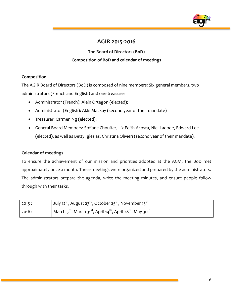

# **AGIR 2015-2016**

**The Board of Directors (BoD) Composition of BoD and calendar of meetings**

#### **Composition**

The AGIR Board of Directors (BoD) is composed of nine members: Six general members, two administrators (French and English) and one treasurer

- Administrator (French): Alein Ortegon (elected);
- Administrator (English): Akki Mackay (second year of their mandate)
- Treasurer: Carmen Ng (elected);
- General Board Members: Sofiane Chouiter, Liz Edith Acosta, Niel Ladode, Edward Lee (elected), as well as Betty Iglesias, Christina Olivieri (second year of their mandate).

#### **Calendar of meetings**

To ensure the achievement of our mission and priorities adopted at the AGM, the BoD met approximately once a month. These meetings were organized and prepared by the administrators. The administrators prepare the agenda, write the meeting minutes, and ensure people follow through with their tasks.

| 2015:  | July 12 <sup>th</sup> , August 23 <sup>rd</sup> , October 25 <sup>th</sup> , November 15 <sup>th</sup>                  |
|--------|-------------------------------------------------------------------------------------------------------------------------|
| 2016 : | March 3 <sup>rd</sup> , March 31 <sup>st</sup> , April 14 <sup>th</sup> , April 28 <sup>th</sup> , May 30 <sup>th</sup> |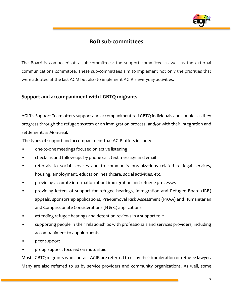

### **BoD sub-committees**

The Board is composed of 2 sub-committees: the support committee as well as the external communications committee. These sub-committees aim to implement not only the priorities that were adopted at the last AGM but also to implement AGIR's everyday activities.

#### **Support and accompaniment with LGBTQ migrants**

AGIR's Support Team offers support and accompaniment to LGBTQ individuals and couples as they progress through the refugee system or an immigration process, and/or with their integration and settlement, in Montreal.

The types of support and accompaniment that AGIR offers include:

- one-to-one meetings focused on active listening
- check-ins and follow-ups by phone call, text message and email
- referrals to social services and to community organizations related to legal services, housing, employment, education, healthcare, social activities, etc.
- providing accurate information about immigration and refugee processes
- providing letters of support for refugee hearings, Immigration and Refugee Board (IRB) appeals, sponsorship applications, Pre-Removal Risk Assessment (PRAA) and Humanitarian and Compassionate Considerations (H & C) applications
- attending refugee hearings and detention reviews in a support role
- supporting people in their relationships with professionals and services providers, including accompaniment to appointments
- peer support
- group support focused on mutual aid

Most LGBTQ migrants who contact AGIR are referred to us by their immigration or refugee lawyer. Many are also referred to us by service providers and community organizations. As well, some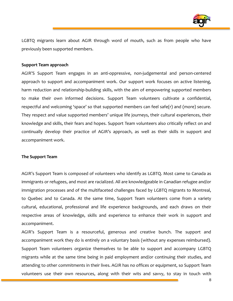

LGBTQ migrants learn about AGIR through word of mouth, such as from people who have previously been supported members.

#### **Support Team approach**

AGIR'S Support Team engages in an anti-oppressive, non-judgemental and person-centered approach to support and accompaniment work. Our support work focuses on active listening, harm reduction and relationship-building skills, with the aim of empowering supported members to make their own informed decisions. Support Team volunteers cultivate a confidential, respectful and welcoming 'space' so that supported members can feel safe(r) and (more) secure. They respect and value supported members' unique life journeys, their cultural experiences, their knowledge and skills, their fears and hopes. Support Team volunteers also critically reflect on and continually develop their practice of AGIR's approach, as well as their skills in support and accompaniment work.

#### **The Support Team**

AGIR's Support Team is composed of volunteers who identify as LGBTQ. Most came to Canada as immigrants or refugees, and most are racialized. All are knowledgeable in Canadian refugee and/or immigration processes and of the multifaceted challenges faced by LGBTQ migrants to Montreal, to Quebec and to Canada. At the same time, Support Team volunteers come from a variety cultural, educational, professional and life experience backgrounds, and each draws on their respective areas of knowledge, skills and experience to enhance their work in support and accompaniment.

AGIR's Support Team is a resourceful, generous and creative bunch. The support and accompaniment work they do is entirely on a voluntary basis (without any expenses reimbursed). Support Team volunteers organize themselves to be able to support and accompany LGBTQ migrants while at the same time being in paid employment and/or continuing their studies, and attending to other commitments in their lives. AGIR has no offices or equipment, so Support Team volunteers use their own resources, along with their wits and savvy, to stay in touch with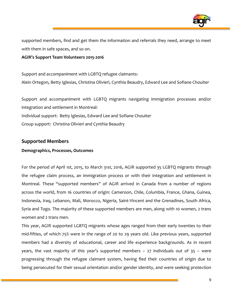

supported members, find and get them the information and referrals they need, arrange to meet with them in safe spaces, and so on.

#### **AGIR's Support Team Volunteers 2015-2016**

Support and accompaniment with LGBTQ refugee claimants: Alein Ortegon, Betty Iglesias, Christina Olivieri, Cynthia Beaudry, Edward Lee and Sofiane Chouiter

Support and accompaniment with LGBTQ migrants navigating immigration processes and/or integration and settlement in Montreal: Individual support: Betty Iglesias, Edward Lee and Sofiane Chouiter Group support: Christina Olivieri and Cynthia Beaudry

#### **Supported Members**

#### **Demographics, Processes, Outcomes**

For the period of April 1st, 2015, to March 31st, 2016, AGIR supported 35 LGBTQ migrants through the refugee claim process, an immigration process or with their integration and settlement in Montreal. These "supported members" of AGIR arrived in Canada from a number of regions across the world, from 16 countries of origin: Cameroon, Chile, Columbia, France, Ghana, Guinea, Indonesia, Iraq, Lebanon, Mali, Morocco, Nigeria, Saint-Vincent and the Grenadines, South Africa, Syria and Togo. The majority of these supported members are men, along with 10 women, 2 trans women and 2 trans men.

This year, AGIR supported LGBTQ migrants whose ages ranged from their early twenties to their mid-fifties, of which 75% were in the range of 20 to 29 years old. Like previous years, supported members had a diversity of educational, career and life experience backgrounds. As in recent years, the vast majority of this year's supported members  $-27$  individuals out of  $35 -$  were progressing through the refugee claimant system, having fled their countries of origin due to being persecuted for their sexual orientation and/or gender identity, and were seeking protection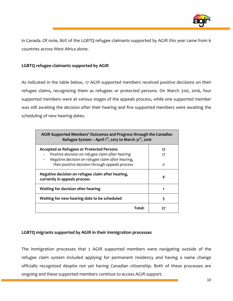

in Canada. Of note, 80% of the LGBTQ refugee claimants supported by AGIR this year came from 6 countries across West Africa alone.

#### **LGBTQ refugee claimants supported by AGIR**

As indicated in the table below, 17 AGIR supported members received positive decisions on their refugee claims, recognizing them as refugees or protected persons. On March 31st, 2016, four supported members were at various stages of the appeals process, while one supported member was still awaiting the decision after their hearing and five supported members were awaiting the scheduling of new hearing dates.

| AGIR Supported Members' Outcomes and Progress through the Canadian<br>Refugee System - April $1^{st}$ , 2015 to March $31^{st}$ , 2016 |          |  |
|----------------------------------------------------------------------------------------------------------------------------------------|----------|--|
| <b>Accepted as Refugees or Protected Persons</b>                                                                                       | 17       |  |
| Positive decision on refugee claim after hearing                                                                                       | 17       |  |
| Negative decision on refugee claim after hearing,<br>-<br>then positive decision through appeals process                               | $\Omega$ |  |
|                                                                                                                                        |          |  |
| Negative decision on refugee claim after hearing,<br>currently in appeals process                                                      | 4        |  |
| Waiting for decision after hearing                                                                                                     |          |  |
| Waiting for new hearing date to be scheduled                                                                                           | 5        |  |
| Total:                                                                                                                                 | 27       |  |

#### **LGBTQ migrants supported by AGIR in their immigration processes**

The immigration processes that 2 AGIR supported members were navigating outside of the refugee claim system included applying for permanent residency and having a name change officially recognized despite not yet having Canadian citizenship. Both of these processes are ongoing and these supported members continue to access AGIR support.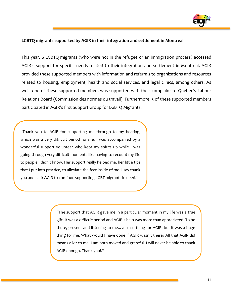

#### **LGBTQ migrants supported by AGIR in their integration and settlement in Montreal**

This year, 6 LGBTQ migrants (who were not in the refugee or an immigration process) accessed AGIR's support for specific needs related to their integration and settlement in Montreal. AGIR provided these supported members with information and referrals to organizations and resources related to housing, employment, health and social services, and legal clinics, among others. As well, one of these supported members was supported with their complaint to Quebec's Labour Relations Board (Commission des normes du travail). Furthermore, 3 of these supported members participated in AGIR's first Support Group for LGBTQ Migrants.

"Thank you to AGIR for supporting me through to my hearing, which was a very difficult period for me. I was accompanied by a wonderful support volunteer who kept my spirits up while I was going through very difficult moments like having to recount my life to people I didn't know. Her support really helped me, her little tips that I put into practice, to alleviate the fear inside of me. I say thank you and I ask AGIR to continue supporting LGBT migrants in need."

> "The support that AGIR gave me in a particular moment in my life was a true gift. It was a difficult period and AGIR's help was more than appreciated. To be there, present and listening to me... a small thing for AGIR, but it was a huge thing for me. What would I have done if AGIR wasn't there? All that AGIR did means a lot to me. I am both moved and grateful. I will never be able to thank AGIR enough. Thank you!."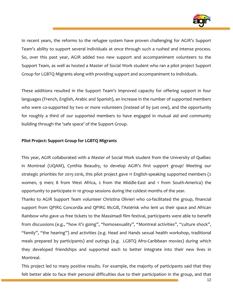

In recent years, the reforms to the refugee system have proven challenging for AGIR's Support Team's ability to support several individuals at once through such a rushed and intense process. So, over this past year, AGIR added two new support and accompaniment volunteers to the Support Team, as well as hosted a Master of Social Work student who ran a pilot project Support Group for LGBTQ Migrants along with providing support and accompaniment to individuals.

These additions resulted in the Support Team's improved capacity for offering support in four languages (French, English, Arabic and Spanish), an increase in the number of supported members who were co-supported by two or more volunteers (instead of by just one), and the opportunity for roughly a third of our supported members to have engaged in mutual aid and community building through the 'safe space' of the Support Group.

#### **Pilot Project: Support Group for LGBTQ Migrants**

This year, AGIR collaborated with a Master of Social Work student from the University of Québec in Montreal (UQAM), Cynthia Beaudry, to develop AGIR's first support group! Meeting our strategic priorities for 2015-2016, this pilot project gave 11 English-speaking supported members (2 women, 9 men; 8 from West Africa, 2 from the Middle-East and 1 from South-America) the opportunity to participate in 10 group sessions during the coldest months of the year.

Thanks to AGIR Support Team volunteer Christina Olivieri who co-facilitated the group, financial support from QPIRG Concordia and QPIRG McGill, l'Astérisk who lent us their space and African Rainbow who gave us free tickets to the Massimadi film festival, participants were able to benefit from discussions (e.g., "how it's going", "homosexuality", "Montreal activities", "culture shock", "family", "the hearing") and activities (e.g. Head and Hands sexual health workshop, traditional meals prepared by participants) and outings (e.g. LGBTQ Afro-Caribbean movies) during which they developed friendships and supported each to better integrate into their new lives in Montreal.

This project led to many positive results. For example, the majority of participants said that they felt better able to face their personal difficulties due to their participation in the group, and that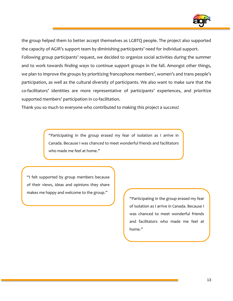

the group helped them to better accept themselves as LGBTQ people. The project also supported the capacity of AGIR's support team by diminishing participants' need for individual support. Following group participants' request, we decided to organize social activities during the summer and to work towards finding ways to continue support groups in the fall. Amongst other things, we plan to improve the groups by prioritizing francophone members', women's and trans people's participation, as well as the cultural diversity of participants. We also want to make sure that the co-facilitators' identities are more representative of participants' experiences, and prioritize supported members' participation in co-facilitation.

Thank you so much to everyone who contributed to making this project a success!

"Participating in the group erased my fear of isolation as I arrive in Canada. Because I was chanced to meet wonderful friends and facilitators who made me feel at home."

"I felt supported by group members because of their views, ideas and opinions they share makes me happy and welcome to the group."

> "Participating in the group erased my fear of isolation as I arrive in Canada. Because I was chanced to meet wonderful friends and facilitators who made me feel at home."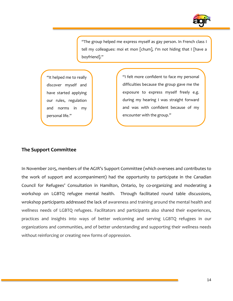

"The group helped me express myself as gay person. In French class I tell my colleagues: moi et mon [chum], I'm not hiding that I [have a boyfriend]."

"It helped me to really discover myself and have started applying our rules, regulation and norms in my personal life."

"I felt more confident to face my personal difficulties because the group gave me the exposure to express myself freely e.g. during my hearing I was straight forward and was with confident because of my encounter with the group."

#### **The Support Committee**

In November 2015, members of the AGIR's Support Committee (which oversees and contributes to the work of support and accompaniment) had the opportunity to participate in the Canadian Council for Refugees' Consultation in Hamilton, Ontario, by co-organizing and moderating a workshop on LGBTQ refugee mental health. Through facilitated round table discussions, wrokshop participants addressed the lack of awareness and training around the mental health and wellness needs of LGBTQ refugees. Facilitators and participants also shared their experiences, practices and insights into ways of better welcoming and serving LGBTQ refugees in our organizations and communities, and of better understanding and supporting their wellness needs without reinforcing or creating new forms of oppression.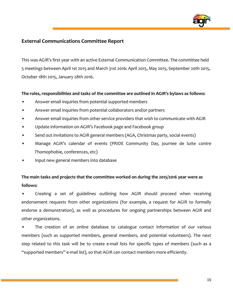

#### **External Communications Committee Report**

This was AGIR's first year with an active External Communication Committee. The committee held 5 meetings between April 1st 2015 and March 31st 2016: April 2015, May 2015, September 20th 2015, October 18th 2015, January 28th 2016.

#### **The roles, responsibilities and tasks of the committee are outlined in AGIR's bylaws as follows:**

- Answer email inquiries from potential supported members
- Answer email inquiries from potential collaborators and/or partners
- Answer email inquiries from other service providers that wish to communicate with AGIR
- Update information on AGIR's Facebook page and Facebook group
- Send out invitations to AGIR general members (AGA, Christmas party, social events)
- Manage AGIR's calendar of events (PRIDE Community Day, journee de lutte contre l'homophobie, conferences, etc)
- Input new general members into database

## **The main tasks and projects that the committee worked on during the 2015/2016 year were as follows:**

• Creating a set of guidelines outlining how AGIR should proceed when receiving endorsement requests from other organizations (for example, a request for AGIR to formally endorse a demonstration), as well as procedures for ongoing partnerships between AGIR and other organizations.

The creation of an online database to catalogue contact information of our various members (such as supported members, general members, and potential volunteers). The next step related to this task will be to create e-mail lists for specific types of members (such as a "supported members" e-mail list), so that AGIR can contact members more efficiently.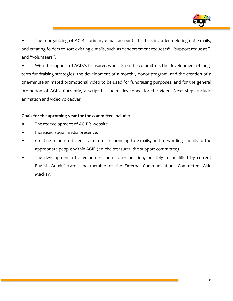

• The reorganizing of AGIR's primary e-mail account. This task included deleting old e-mails, and creating folders to sort existing e-mails, such as "endorsement requests", "support requests", and "volunteers".

With the support of AGIR's treasurer, who sits on the committee, the development of longterm fundraising strategies: the development of a monthly donor program, and the creation of a one-minute animated promotional video to be used for fundraising purposes, and for the general promotion of AGIR. Currently, a script has been developed for the video. Next steps include animation and video voiceover.

#### **Goals for the upcoming year for the committee include:**

- The redevelopment of AGIR's website.
- Increased social media presence.
- Creating a more efficient system for responding to e-mails, and forwarding e-mails to the appropriate people within AGIR (ex. the treasurer, the support committee)
- The development of a volunteer coordinator position, possibly to be filled by current English Administrator and member of the External Communications Committee, Akki Mackay.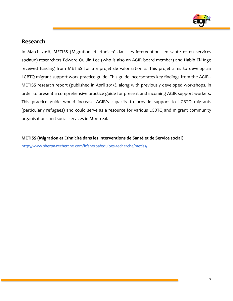

### **Research**

In March 2016, METISS (Migration et ethnicité dans les interventions en santé et en services sociaux) researchers Edward Ou Jin Lee (who is also an AGIR board member) and Habib El-Hage received funding from METISS for a « projet de valorisation ». This projet aims to develop an LGBTQ migrant support work practice guide. This guide incorporates key findings from the AGIR - METISS research report (published in April 2015), along with previously developed workshops, in order to present a comprehensive practice guide for present and incoming AGIR support workers. This practice guide would increase AGIR's capacity to provide support to LGBTQ migrants (particularly refugees) and could serve as a resource for various LGBTQ and migrant community organisations and social services in Montreal.

**METISS (Migration et Ethnicité dans les Interventions de Santé et de Service social)**

<http://www.sherpa-recherche.com/fr/sherpa/equipes-recherche/metiss/>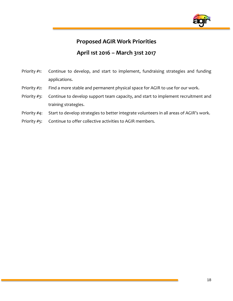

# **Proposed AGIR Work Priorities**

# **April 1st 2016 – March 31st 2017**

- Priority #1: Continue to develop, and start to implement, fundraising strategies and funding applications.
- Priority #2: Find a more stable and permanent physical space for AGIR to use for our work.
- Priority #3: Continue to develop support team capacity, and start to implement recruitment and training strategies.
- Priority #4: Start to develop strategies to better integrate volunteers in all areas of AGIR's work.
- Priority #5: Continue to offer collective activities to AGIR members.